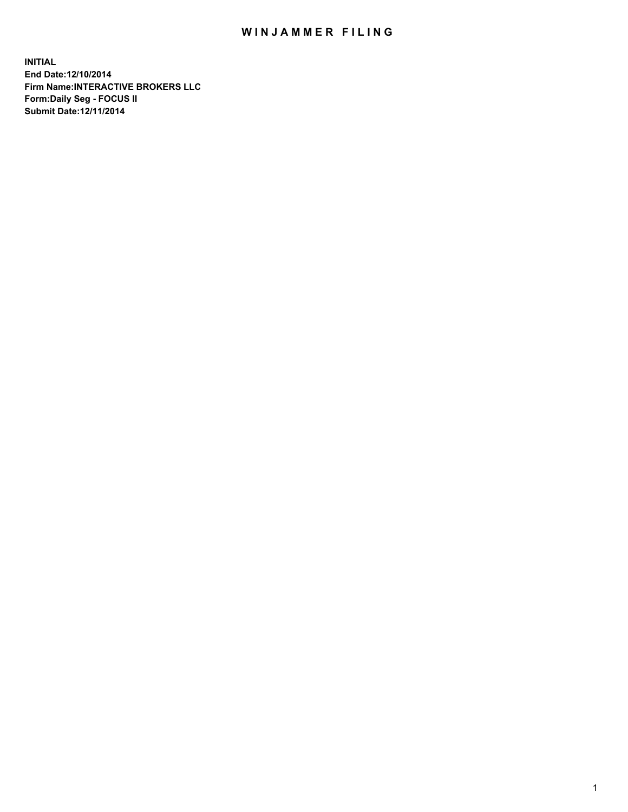## WIN JAMMER FILING

**INITIAL End Date:12/10/2014 Firm Name:INTERACTIVE BROKERS LLC Form:Daily Seg - FOCUS II Submit Date:12/11/2014**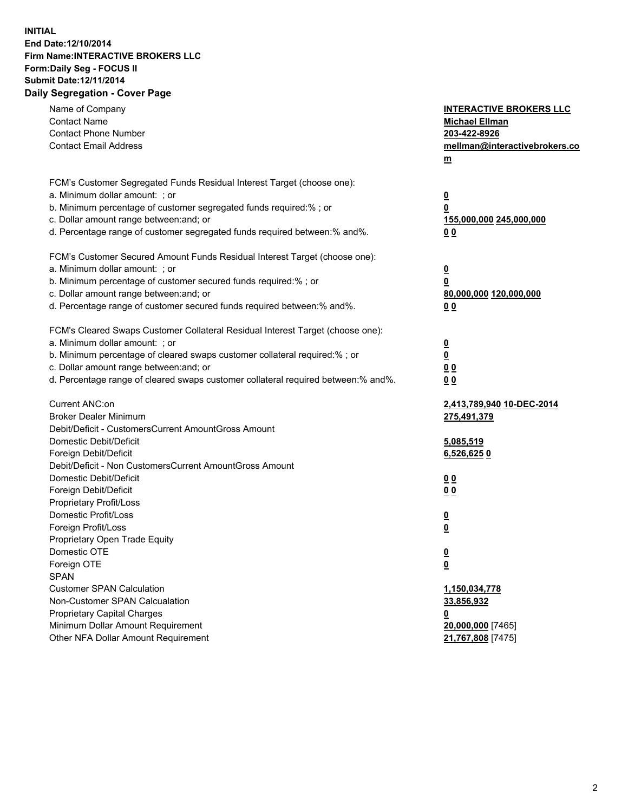## **INITIAL End Date:12/10/2014 Firm Name:INTERACTIVE BROKERS LLC Form:Daily Seg - FOCUS II Submit Date:12/11/2014 Daily Segregation - Cover Page**

| Name of Company<br><b>Contact Name</b><br><b>Contact Phone Number</b><br><b>Contact Email Address</b>                                                                                                                                                                                                                          | <b>INTERACTIVE BROKERS LLC</b><br><b>Michael Ellman</b><br>203-422-8926<br>mellman@interactivebrokers.co<br>$m$ |
|--------------------------------------------------------------------------------------------------------------------------------------------------------------------------------------------------------------------------------------------------------------------------------------------------------------------------------|-----------------------------------------------------------------------------------------------------------------|
| FCM's Customer Segregated Funds Residual Interest Target (choose one):<br>a. Minimum dollar amount: ; or<br>b. Minimum percentage of customer segregated funds required:% ; or<br>c. Dollar amount range between: and; or<br>d. Percentage range of customer segregated funds required between:% and%.                         | <u>0</u><br><u>0</u><br>155,000,000 245,000,000<br>0 <sub>0</sub>                                               |
| FCM's Customer Secured Amount Funds Residual Interest Target (choose one):<br>a. Minimum dollar amount: ; or<br>b. Minimum percentage of customer secured funds required:% ; or<br>c. Dollar amount range between: and; or<br>d. Percentage range of customer secured funds required between:% and%.                           | <u>0</u><br>0<br>80,000,000 120,000,000<br>0 <sub>0</sub>                                                       |
| FCM's Cleared Swaps Customer Collateral Residual Interest Target (choose one):<br>a. Minimum dollar amount: ; or<br>b. Minimum percentage of cleared swaps customer collateral required:% ; or<br>c. Dollar amount range between: and; or<br>d. Percentage range of cleared swaps customer collateral required between:% and%. | $\overline{\mathbf{0}}$<br>$\underline{\mathbf{0}}$<br>0 <sub>0</sub><br>0 <sub>0</sub>                         |
| Current ANC:on<br><b>Broker Dealer Minimum</b><br>Debit/Deficit - CustomersCurrent AmountGross Amount<br>Domestic Debit/Deficit<br>Foreign Debit/Deficit                                                                                                                                                                       | 2,413,789,940 10-DEC-2014<br>275,491,379<br>5,085,519<br>6,526,6250                                             |
| Debit/Deficit - Non CustomersCurrent AmountGross Amount<br>Domestic Debit/Deficit<br>Foreign Debit/Deficit<br>Proprietary Profit/Loss<br>Domestic Profit/Loss<br>Foreign Profit/Loss                                                                                                                                           | 0 <sub>0</sub><br>0 <sub>0</sub><br><u>0</u><br><u>0</u>                                                        |
| Proprietary Open Trade Equity<br>Domestic OTE<br>Foreign OTE<br><b>SPAN</b><br><b>Customer SPAN Calculation</b><br>Non-Customer SPAN Calcualation                                                                                                                                                                              | <u>0</u><br><u>0</u><br>1,150,034,778<br>33,856,932                                                             |
| <b>Proprietary Capital Charges</b><br>Minimum Dollar Amount Requirement<br>Other NFA Dollar Amount Requirement                                                                                                                                                                                                                 | <u>0</u><br>20,000,000 [7465]<br>21,767,808 [7475]                                                              |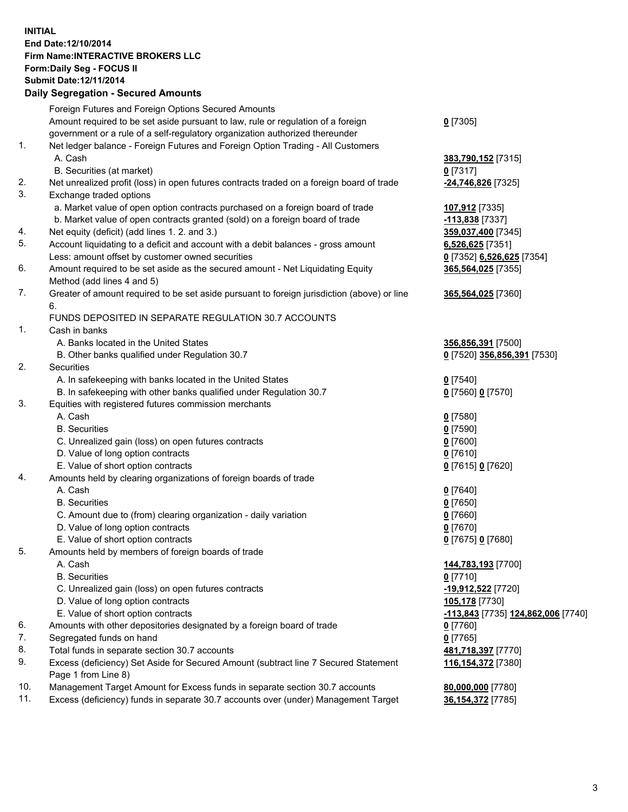## **INITIAL End Date:12/10/2014 Firm Name:INTERACTIVE BROKERS LLC Form:Daily Seg - FOCUS II Submit Date:12/11/2014 Daily Segregation - Secured Amounts**

|                | Daily Segregation - Secured Amounts                                                                        |                                    |
|----------------|------------------------------------------------------------------------------------------------------------|------------------------------------|
|                | Foreign Futures and Foreign Options Secured Amounts                                                        |                                    |
|                | Amount required to be set aside pursuant to law, rule or regulation of a foreign                           | $0$ [7305]                         |
|                | government or a rule of a self-regulatory organization authorized thereunder                               |                                    |
| 1.             | Net ledger balance - Foreign Futures and Foreign Option Trading - All Customers                            |                                    |
|                | A. Cash                                                                                                    | 383,790,152 [7315]                 |
|                | B. Securities (at market)                                                                                  | $0$ [7317]                         |
| 2.             | Net unrealized profit (loss) in open futures contracts traded on a foreign board of trade                  | -24,746,826 [7325]                 |
| 3.             | Exchange traded options                                                                                    |                                    |
|                | a. Market value of open option contracts purchased on a foreign board of trade                             | 107,912 [7335]                     |
|                | b. Market value of open contracts granted (sold) on a foreign board of trade                               | $-113,838$ [7337]                  |
| 4.             | Net equity (deficit) (add lines 1. 2. and 3.)                                                              | 359,037,400 [7345]                 |
| 5.             | Account liquidating to a deficit and account with a debit balances - gross amount                          | 6,526,625 [7351]                   |
|                | Less: amount offset by customer owned securities                                                           | 0 [7352] 6,526,625 [7354]          |
| 6.             | Amount required to be set aside as the secured amount - Net Liquidating Equity                             | 365,564,025 [7355]                 |
|                | Method (add lines 4 and 5)                                                                                 |                                    |
| 7.             | Greater of amount required to be set aside pursuant to foreign jurisdiction (above) or line                | 365,564,025 [7360]                 |
|                | 6.                                                                                                         |                                    |
|                | FUNDS DEPOSITED IN SEPARATE REGULATION 30.7 ACCOUNTS                                                       |                                    |
| $\mathbf{1}$ . | Cash in banks                                                                                              |                                    |
|                | A. Banks located in the United States                                                                      | 356,856,391 [7500]                 |
|                | B. Other banks qualified under Regulation 30.7                                                             | 0 [7520] 356,856,391 [7530]        |
| 2.             | Securities                                                                                                 |                                    |
|                | A. In safekeeping with banks located in the United States                                                  | $0$ [7540]                         |
|                | B. In safekeeping with other banks qualified under Regulation 30.7                                         | 0 [7560] 0 [7570]                  |
| 3.             | Equities with registered futures commission merchants                                                      |                                    |
|                | A. Cash                                                                                                    | $0$ [7580]                         |
|                | <b>B.</b> Securities                                                                                       | $0$ [7590]                         |
|                | C. Unrealized gain (loss) on open futures contracts                                                        | $0$ [7600]                         |
|                | D. Value of long option contracts                                                                          | $0$ [7610]                         |
|                | E. Value of short option contracts                                                                         | 0 [7615] 0 [7620]                  |
| 4.             | Amounts held by clearing organizations of foreign boards of trade                                          |                                    |
|                | A. Cash                                                                                                    | $0$ [7640]                         |
|                | <b>B.</b> Securities                                                                                       | $0$ [7650]                         |
|                | C. Amount due to (from) clearing organization - daily variation                                            | $0$ [7660]                         |
|                | D. Value of long option contracts                                                                          | $0$ [7670]                         |
|                | E. Value of short option contracts                                                                         | 0 [7675] 0 [7680]                  |
| 5.             | Amounts held by members of foreign boards of trade                                                         |                                    |
|                | A. Cash                                                                                                    | 144,783,193 [7700]                 |
|                | <b>B.</b> Securities                                                                                       | $0$ [7710]                         |
|                | C. Unrealized gain (loss) on open futures contracts                                                        | -19,912,522 [7720]                 |
|                | D. Value of long option contracts                                                                          | 105,178 [7730]                     |
|                | E. Value of short option contracts                                                                         | -113,843 [7735] 124,862,006 [7740] |
| 6.             | Amounts with other depositories designated by a foreign board of trade                                     | $0$ [7760]                         |
| 7.             | Segregated funds on hand                                                                                   | $0$ [7765]                         |
| 8.             |                                                                                                            |                                    |
| 9.             | Total funds in separate section 30.7 accounts                                                              | 481,718,397 [7770]                 |
|                | Excess (deficiency) Set Aside for Secured Amount (subtract line 7 Secured Statement<br>Page 1 from Line 8) | 116, 154, 372 [7380]               |
| 10.            | Management Target Amount for Excess funds in separate section 30.7 accounts                                | 80,000,000 [7780]                  |
| 11.            | Excess (deficiency) funds in separate 30.7 accounts over (under) Management Target                         |                                    |
|                |                                                                                                            | 36,154,372 [7785]                  |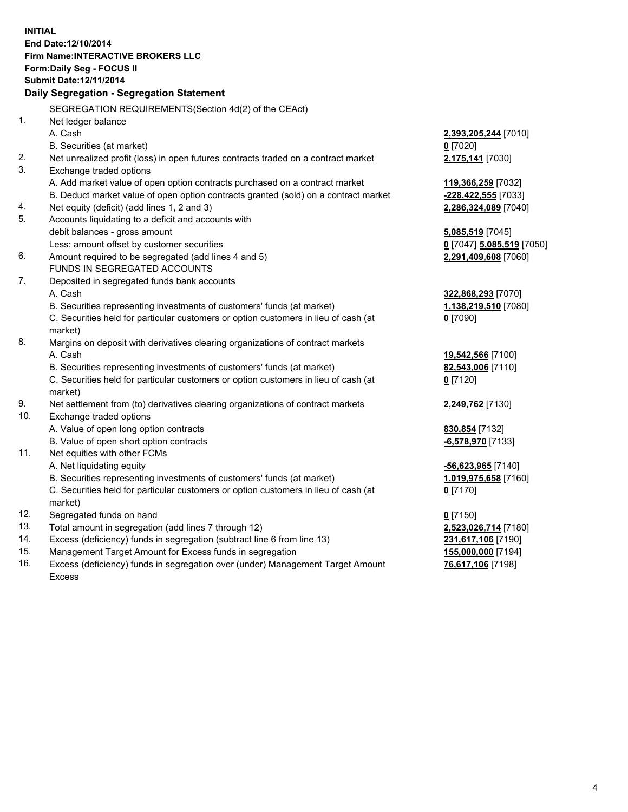**INITIAL End Date:12/10/2014 Firm Name:INTERACTIVE BROKERS LLC Form:Daily Seg - FOCUS II Submit Date:12/11/2014 Daily Segregation - Segregation Statement** SEGREGATION REQUIREMENTS(Section 4d(2) of the CEAct) 1. Net ledger balance A. Cash **2,393,205,244** [7010] B. Securities (at market) **0** [7020] 2. Net unrealized profit (loss) in open futures contracts traded on a contract market **2,175,141** [7030] 3. Exchange traded options A. Add market value of open option contracts purchased on a contract market **119,366,259** [7032] B. Deduct market value of open option contracts granted (sold) on a contract market **-228,422,555** [7033] 4. Net equity (deficit) (add lines 1, 2 and 3) **2,286,324,089** [7040] 5. Accounts liquidating to a deficit and accounts with debit balances - gross amount **5,085,519** [7045] Less: amount offset by customer securities **0** [7047] **5,085,519** [7050] 6. Amount required to be segregated (add lines 4 and 5) **2,291,409,608** [7060] FUNDS IN SEGREGATED ACCOUNTS 7. Deposited in segregated funds bank accounts A. Cash **322,868,293** [7070] B. Securities representing investments of customers' funds (at market) **1,138,219,510** [7080] C. Securities held for particular customers or option customers in lieu of cash (at market) **0** [7090] 8. Margins on deposit with derivatives clearing organizations of contract markets A. Cash **19,542,566** [7100] B. Securities representing investments of customers' funds (at market) **82,543,006** [7110] C. Securities held for particular customers or option customers in lieu of cash (at market) **0** [7120] 9. Net settlement from (to) derivatives clearing organizations of contract markets **2,249,762** [7130] 10. Exchange traded options A. Value of open long option contracts **830,854** [7132] B. Value of open short option contracts **-6,578,970** [7133] 11. Net equities with other FCMs A. Net liquidating equity **-56,623,965** [7140] B. Securities representing investments of customers' funds (at market) **1,019,975,658** [7160] C. Securities held for particular customers or option customers in lieu of cash (at market) **0** [7170] 12. Segregated funds on hand **0** [7150] 13. Total amount in segregation (add lines 7 through 12) **2,523,026,714** [7180] 14. Excess (deficiency) funds in segregation (subtract line 6 from line 13) **231,617,106** [7190] 15. Management Target Amount for Excess funds in segregation **155,000,000** [7194]

16. Excess (deficiency) funds in segregation over (under) Management Target Amount Excess

**76,617,106** [7198]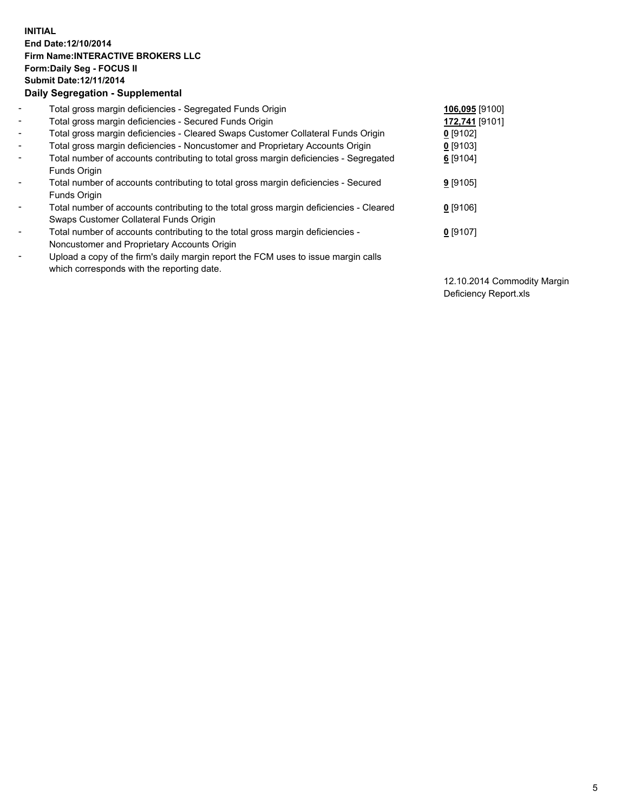## **INITIAL End Date:12/10/2014 Firm Name:INTERACTIVE BROKERS LLC Form:Daily Seg - FOCUS II Submit Date:12/11/2014 Daily Segregation - Supplemental**

| $\blacksquare$ | Total gross margin deficiencies - Segregated Funds Origin                              | 106,095 [9100] |
|----------------|----------------------------------------------------------------------------------------|----------------|
| $\blacksquare$ | Total gross margin deficiencies - Secured Funds Origin                                 | 172,741 [9101] |
| $\blacksquare$ | Total gross margin deficiencies - Cleared Swaps Customer Collateral Funds Origin       | $0$ [9102]     |
| $\blacksquare$ | Total gross margin deficiencies - Noncustomer and Proprietary Accounts Origin          | $0$ [9103]     |
| $\blacksquare$ | Total number of accounts contributing to total gross margin deficiencies - Segregated  | 6 [9104]       |
|                | Funds Origin                                                                           |                |
| $\blacksquare$ | Total number of accounts contributing to total gross margin deficiencies - Secured     | $9$ [9105]     |
|                | Funds Origin                                                                           |                |
| $\blacksquare$ | Total number of accounts contributing to the total gross margin deficiencies - Cleared | $0$ [9106]     |
|                | Swaps Customer Collateral Funds Origin                                                 |                |
| $\blacksquare$ | Total number of accounts contributing to the total gross margin deficiencies -         | $0$ [9107]     |
|                | Noncustomer and Proprietary Accounts Origin                                            |                |
| $\blacksquare$ | Upload a copy of the firm's daily margin report the FCM uses to issue margin calls     |                |
|                | which corresponds with the reporting date.                                             |                |

12.10.2014 Commodity Margin Deficiency Report.xls